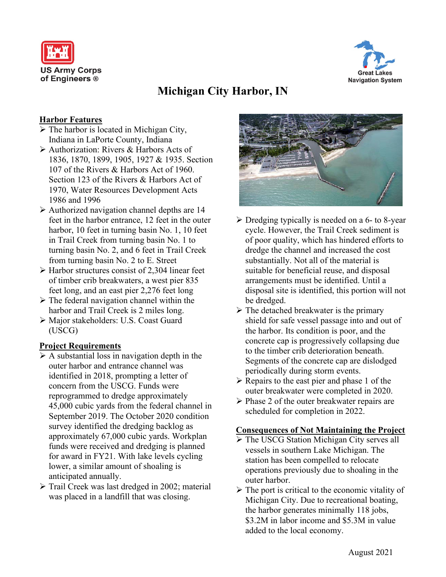



# **Michigan City Harbor, IN**

### **Harbor Features**

- $\triangleright$  The harbor is located in Michigan City, Indiana in LaPorte County, Indiana
- Authorization: Rivers & Harbors Acts of 1836, 1870, 1899, 1905, 1927 & 1935. Section 107 of the Rivers & Harbors Act of 1960. Section 123 of the Rivers & Harbors Act of 1970, Water Resources Development Acts 1986 and 1996
- $\triangleright$  Authorized navigation channel depths are 14 feet in the harbor entrance, 12 feet in the outer harbor, 10 feet in turning basin No. 1, 10 feet in Trail Creek from turning basin No. 1 to turning basin No. 2, and 6 feet in Trail Creek from turning basin No. 2 to E. Street
- $\triangleright$  Harbor structures consist of 2,304 linear feet of timber crib breakwaters, a west pier 835 feet long, and an east pier 2,276 feet long
- $\triangleright$  The federal navigation channel within the harbor and Trail Creek is 2 miles long.
- Major stakeholders: U.S. Coast Guard (USCG)

# **Project Requirements**

- $\triangleright$  A substantial loss in navigation depth in the outer harbor and entrance channel was identified in 2018, prompting a letter of concern from the USCG. Funds were reprogrammed to dredge approximately 45,000 cubic yards from the federal channel in September 2019. The October 2020 condition survey identified the dredging backlog as approximately 67,000 cubic yards. Workplan funds were received and dredging is planned for award in FY21. With lake levels cycling lower, a similar amount of shoaling is anticipated annually.
- Trail Creek was last dredged in 2002; material was placed in a landfill that was closing.



- $\triangleright$  Dredging typically is needed on a 6- to 8-year cycle. However, the Trail Creek sediment is of poor quality, which has hindered efforts to dredge the channel and increased the cost substantially. Not all of the material is suitable for beneficial reuse, and disposal arrangements must be identified. Until a disposal site is identified, this portion will not be dredged.
- $\triangleright$  The detached breakwater is the primary shield for safe vessel passage into and out of the harbor. Its condition is poor, and the concrete cap is progressively collapsing due to the timber crib deterioration beneath. Segments of the concrete cap are dislodged periodically during storm events.
- $\triangleright$  Repairs to the east pier and phase 1 of the outer breakwater were completed in 2020.
- $\triangleright$  Phase 2 of the outer breakwater repairs are scheduled for completion in 2022.

#### **Consequences of Not Maintaining the Project**

- The USCG Station Michigan City serves all vessels in southern Lake Michigan. The station has been compelled to relocate operations previously due to shoaling in the outer harbor.
- $\triangleright$  The port is critical to the economic vitality of Michigan City. Due to recreational boating, the harbor generates minimally 118 jobs, \$3.2M in labor income and \$5.3M in value added to the local economy.